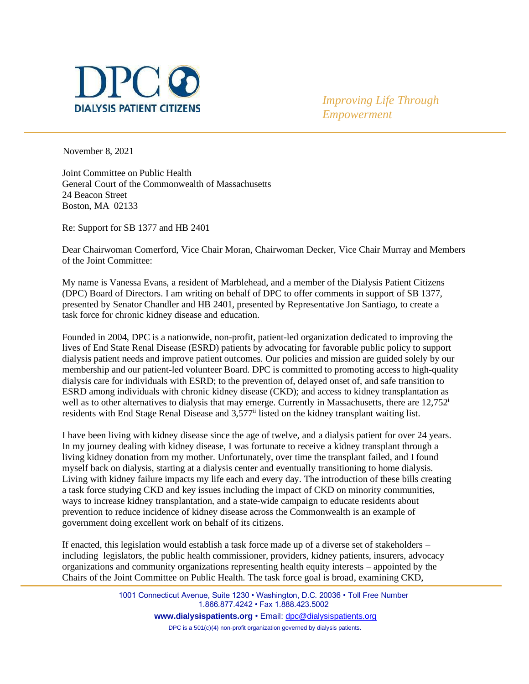

*Improving Life Through Empowerment*

November 8, 2021

Joint Committee on Public Health General Court of the Commonwealth of Massachusetts 24 Beacon Street Boston, MA 02133

Re: Support for SB 1377 and HB 2401

Dear Chairwoman Comerford, Vice Chair Moran, Chairwoman Decker, Vice Chair Murray and Members of the Joint Committee:

My name is Vanessa Evans, a resident of Marblehead, and a member of the Dialysis Patient Citizens (DPC) Board of Directors. I am writing on behalf of DPC to offer comments in support of SB 1377, presented by Senator Chandler and HB 2401, presented by Representative Jon Santiago, to create a task force for chronic kidney disease and education.

Founded in 2004, DPC is a nationwide, non-profit, patient-led organization dedicated to improving the lives of End State Renal Disease (ESRD) patients by advocating for favorable public policy to support dialysis patient needs and improve patient outcomes. Our policies and mission are guided solely by our membership and our patient-led volunteer Board. DPC is committed to promoting accessto high-quality dialysis care for individuals with ESRD; to the prevention of, delayed onset of, and safe transition to ESRD among individuals with chronic kidney disease (CKD); and access to kidney transplantation as well as to other alternatives to dialysis that may emerge. Currently in Massachusetts, there are 12,752<sup>i</sup> residents with End Stage Renal Disease and 3,577<sup>ii</sup> listed on the kidney transplant waiting list.

I have been living with kidney disease since the age of twelve, and a dialysis patient for over 24 years. In my journey dealing with kidney disease, I was fortunate to receive a kidney transplant through a living kidney donation from my mother. Unfortunately, over time the transplant failed, and I found myself back on dialysis, starting at a dialysis center and eventually transitioning to home dialysis. Living with kidney failure impacts my life each and every day. The introduction of these bills creating a task force studying CKD and key issues including the impact of CKD on minority communities, ways to increase kidney transplantation, and a state-wide campaign to educate residents about prevention to reduce incidence of kidney disease across the Commonwealth is an example of government doing excellent work on behalf of its citizens.

If enacted, this legislation would establish a task force made up of a diverse set of stakeholders – including legislators, the public health commissioner, providers, kidney patients, insurers, advocacy organizations and community organizations representing health equity interests – appointed by the Chairs of the Joint Committee on Public Health. The task force goal is broad, examining CKD,

> 1001 Connecticut Avenue, Suite 1230 • Washington, D.C. 20036 • Toll Free Number 1.866.877.4242 • Fax 1.888.423.5002 **[www.dialysispatients.org](http://www.dialysispatients.org/)** • Email: [dpc@dialysispatients.org](mailto:dpc@dialysispatients.org) DPC is a 501(c)(4) non-profit organization governed by dialysis patients.